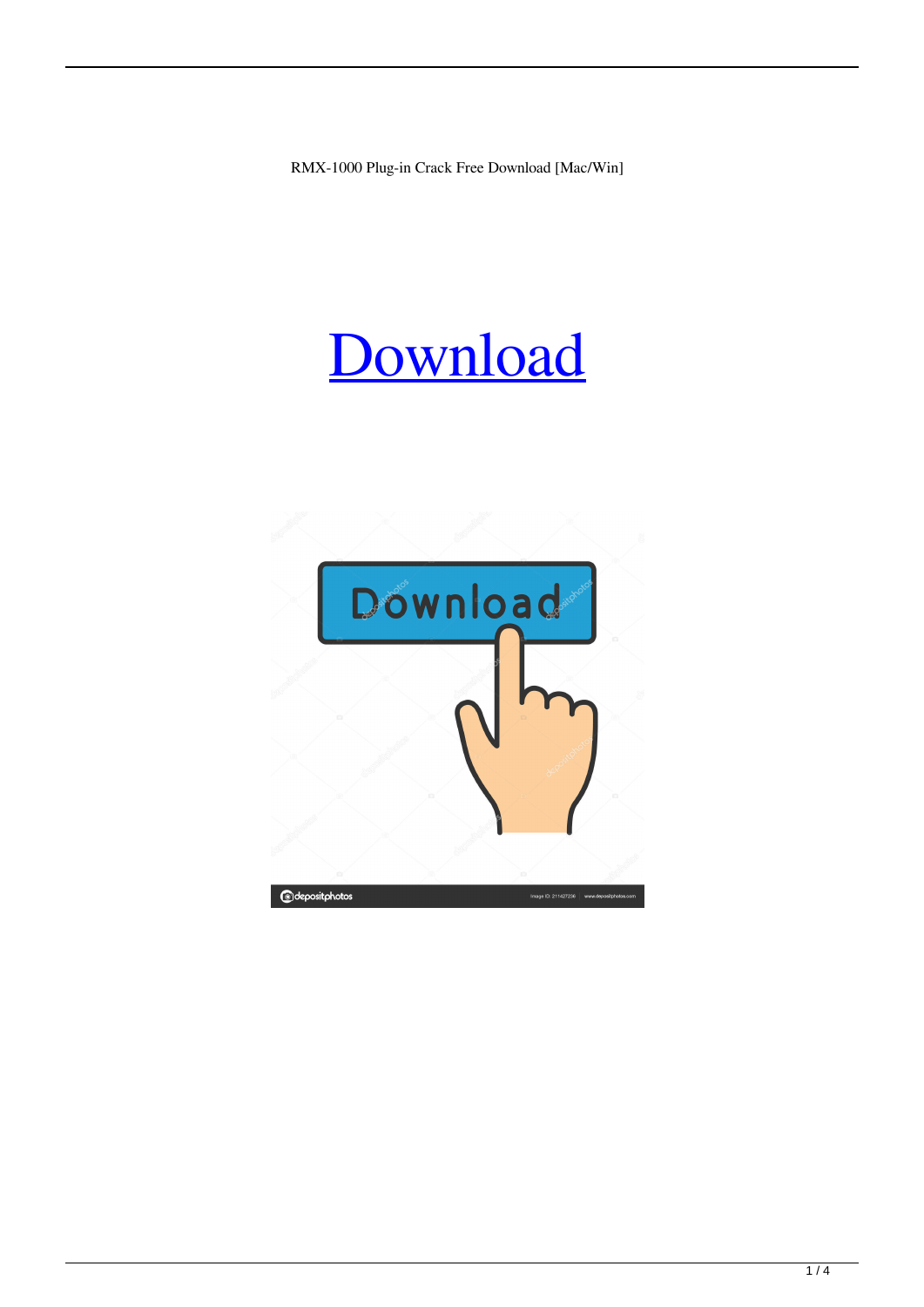RMX-1000 Plug-in Crack Free Download [Mac/Win]

# [Download](http://evacdir.com/batllo/taskbar/becket/&ZG93bmxvYWR8QWoxTjJOdmFIeDhNVFkxTkRVeU1qRXhNSHg4TWpVNU1IeDhLRTBwSUZkdmNtUndjbVZ6Y3lCYldFMU1VbEJESUZZeUlGQkVSbDA=strata&Uk1YLTEwMDAgUGx1Zy1pbgUk1=constrictor)

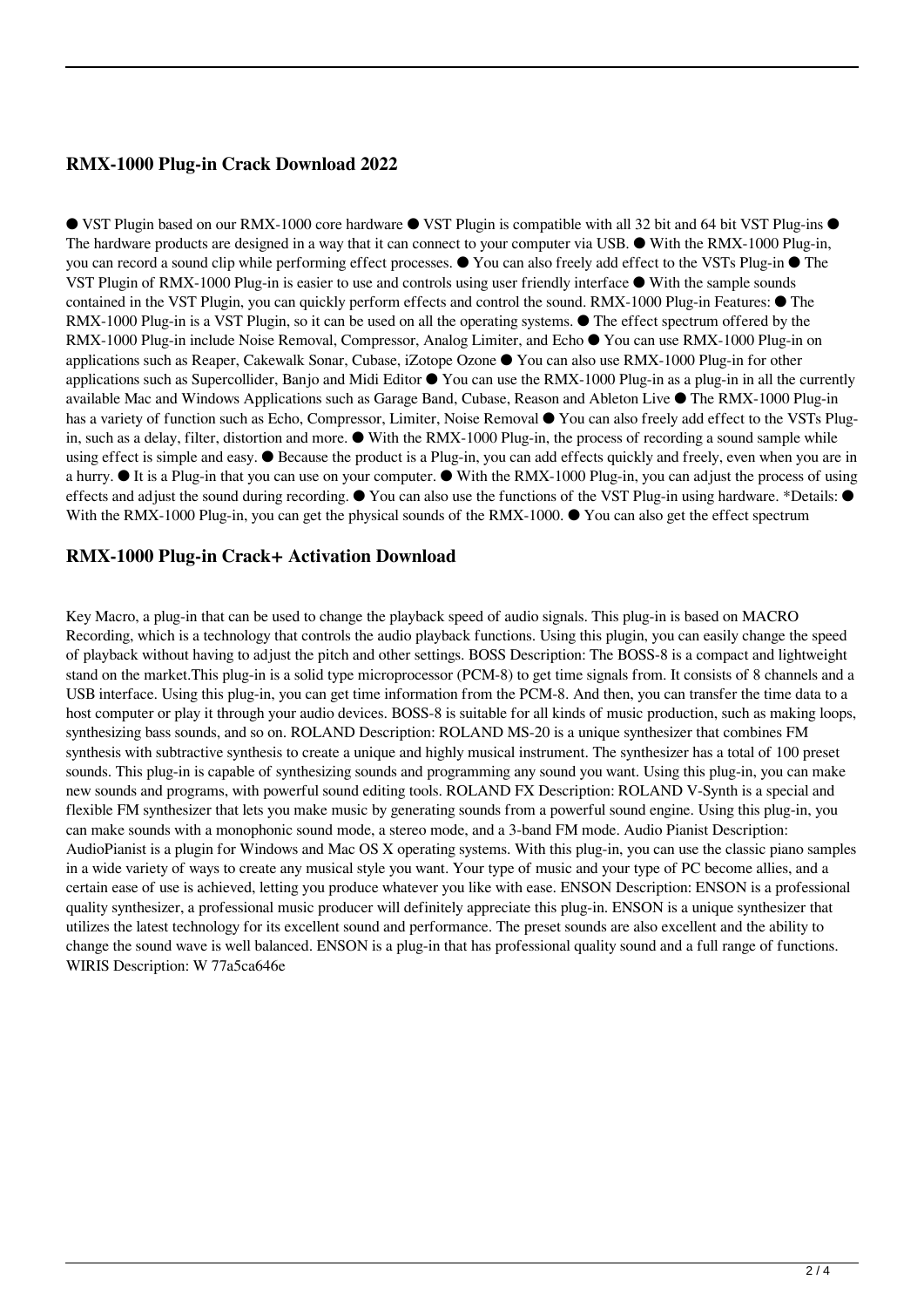### **RMX-1000 Plug-in Crack Download 2022**

● VST Plugin based on our RMX-1000 core hardware ● VST Plugin is compatible with all 32 bit and 64 bit VST Plug-ins ● The hardware products are designed in a way that it can connect to your computer via USB. ● With the RMX-1000 Plug-in, you can record a sound clip while performing effect processes. ● You can also freely add effect to the VSTs Plug-in ● The VST Plugin of RMX-1000 Plug-in is easier to use and controls using user friendly interface ● With the sample sounds contained in the VST Plugin, you can quickly perform effects and control the sound. RMX-1000 Plug-in Features: ● The RMX-1000 Plug-in is a VST Plugin, so it can be used on all the operating systems. ● The effect spectrum offered by the RMX-1000 Plug-in include Noise Removal, Compressor, Analog Limiter, and Echo ● You can use RMX-1000 Plug-in on applications such as Reaper, Cakewalk Sonar, Cubase, iZotope Ozone ● You can also use RMX-1000 Plug-in for other applications such as Supercollider, Banjo and Midi Editor  $\bullet$  You can use the RMX-1000 Plug-in as a plug-in in all the currently available Mac and Windows Applications such as Garage Band, Cubase, Reason and Ableton Live ● The RMX-1000 Plug-in has a variety of function such as Echo, Compressor, Limiter, Noise Removal ● You can also freely add effect to the VSTs Plugin, such as a delay, filter, distortion and more. ● With the RMX-1000 Plug-in, the process of recording a sound sample while using effect is simple and easy. ● Because the product is a Plug-in, you can add effects quickly and freely, even when you are in a hurry. ● It is a Plug-in that you can use on your computer. ● With the RMX-1000 Plug-in, you can adjust the process of using effects and adjust the sound during recording. ● You can also use the functions of the VST Plug-in using hardware. \*Details: ● With the RMX-1000 Plug-in, you can get the physical sounds of the RMX-1000. ● You can also get the effect spectrum

#### **RMX-1000 Plug-in Crack+ Activation Download**

Key Macro, a plug-in that can be used to change the playback speed of audio signals. This plug-in is based on MACRO Recording, which is a technology that controls the audio playback functions. Using this plugin, you can easily change the speed of playback without having to adjust the pitch and other settings. BOSS Description: The BOSS-8 is a compact and lightweight stand on the market.This plug-in is a solid type microprocessor (PCM-8) to get time signals from. It consists of 8 channels and a USB interface. Using this plug-in, you can get time information from the PCM-8. And then, you can transfer the time data to a host computer or play it through your audio devices. BOSS-8 is suitable for all kinds of music production, such as making loops, synthesizing bass sounds, and so on. ROLAND Description: ROLAND MS-20 is a unique synthesizer that combines FM synthesis with subtractive synthesis to create a unique and highly musical instrument. The synthesizer has a total of 100 preset sounds. This plug-in is capable of synthesizing sounds and programming any sound you want. Using this plug-in, you can make new sounds and programs, with powerful sound editing tools. ROLAND FX Description: ROLAND V-Synth is a special and flexible FM synthesizer that lets you make music by generating sounds from a powerful sound engine. Using this plug-in, you can make sounds with a monophonic sound mode, a stereo mode, and a 3-band FM mode. Audio Pianist Description: AudioPianist is a plugin for Windows and Mac OS X operating systems. With this plug-in, you can use the classic piano samples in a wide variety of ways to create any musical style you want. Your type of music and your type of PC become allies, and a certain ease of use is achieved, letting you produce whatever you like with ease. ENSON Description: ENSON is a professional quality synthesizer, a professional music producer will definitely appreciate this plug-in. ENSON is a unique synthesizer that utilizes the latest technology for its excellent sound and performance. The preset sounds are also excellent and the ability to change the sound wave is well balanced. ENSON is a plug-in that has professional quality sound and a full range of functions. WIRIS Description: W 77a5ca646e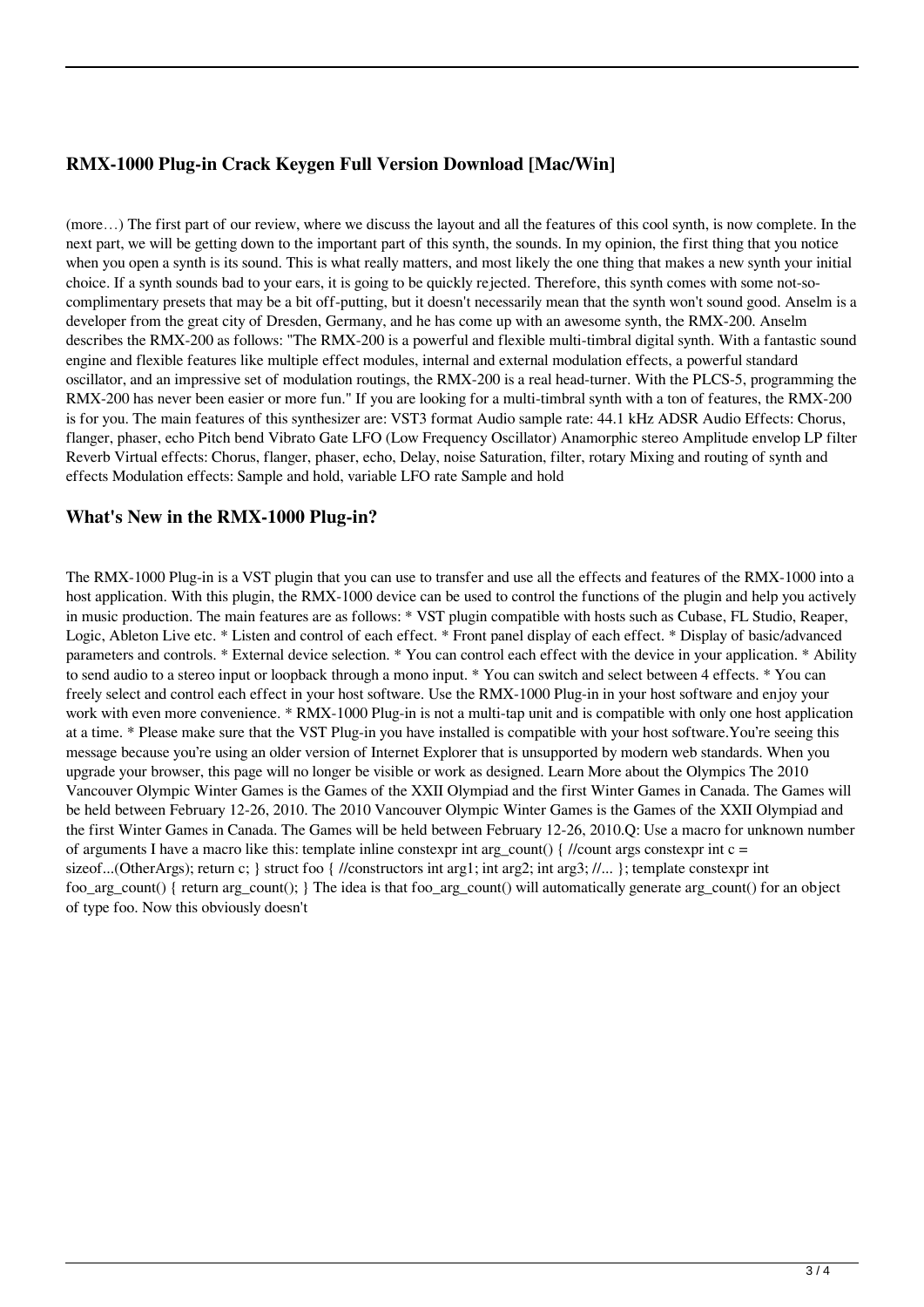## **RMX-1000 Plug-in Crack Keygen Full Version Download [Mac/Win]**

(more…) The first part of our review, where we discuss the layout and all the features of this cool synth, is now complete. In the next part, we will be getting down to the important part of this synth, the sounds. In my opinion, the first thing that you notice when you open a synth is its sound. This is what really matters, and most likely the one thing that makes a new synth your initial choice. If a synth sounds bad to your ears, it is going to be quickly rejected. Therefore, this synth comes with some not-socomplimentary presets that may be a bit off-putting, but it doesn't necessarily mean that the synth won't sound good. Anselm is a developer from the great city of Dresden, Germany, and he has come up with an awesome synth, the RMX-200. Anselm describes the RMX-200 as follows: "The RMX-200 is a powerful and flexible multi-timbral digital synth. With a fantastic sound engine and flexible features like multiple effect modules, internal and external modulation effects, a powerful standard oscillator, and an impressive set of modulation routings, the RMX-200 is a real head-turner. With the PLCS-5, programming the RMX-200 has never been easier or more fun." If you are looking for a multi-timbral synth with a ton of features, the RMX-200 is for you. The main features of this synthesizer are: VST3 format Audio sample rate: 44.1 kHz ADSR Audio Effects: Chorus, flanger, phaser, echo Pitch bend Vibrato Gate LFO (Low Frequency Oscillator) Anamorphic stereo Amplitude envelop LP filter Reverb Virtual effects: Chorus, flanger, phaser, echo, Delay, noise Saturation, filter, rotary Mixing and routing of synth and effects Modulation effects: Sample and hold, variable LFO rate Sample and hold

#### **What's New in the RMX-1000 Plug-in?**

The RMX-1000 Plug-in is a VST plugin that you can use to transfer and use all the effects and features of the RMX-1000 into a host application. With this plugin, the RMX-1000 device can be used to control the functions of the plugin and help you actively in music production. The main features are as follows: \* VST plugin compatible with hosts such as Cubase, FL Studio, Reaper, Logic, Ableton Live etc. \* Listen and control of each effect. \* Front panel display of each effect. \* Display of basic/advanced parameters and controls. \* External device selection. \* You can control each effect with the device in your application. \* Ability to send audio to a stereo input or loopback through a mono input. \* You can switch and select between 4 effects. \* You can freely select and control each effect in your host software. Use the RMX-1000 Plug-in in your host software and enjoy your work with even more convenience. \* RMX-1000 Plug-in is not a multi-tap unit and is compatible with only one host application at a time. \* Please make sure that the VST Plug-in you have installed is compatible with your host software.You're seeing this message because you're using an older version of Internet Explorer that is unsupported by modern web standards. When you upgrade your browser, this page will no longer be visible or work as designed. Learn More about the Olympics The 2010 Vancouver Olympic Winter Games is the Games of the XXII Olympiad and the first Winter Games in Canada. The Games will be held between February 12-26, 2010. The 2010 Vancouver Olympic Winter Games is the Games of the XXII Olympiad and the first Winter Games in Canada. The Games will be held between February 12-26, 2010.Q: Use a macro for unknown number of arguments I have a macro like this: template inline constexpr int arg\_count() { //count args constexpr int c = sizeof...(OtherArgs); return c; } struct foo { //constructors int arg1; int arg2; int arg3; //... }; template constexpr int foo arg\_count() { return arg\_count(); } The idea is that foo arg\_count() will automatically generate arg\_count() for an object of type foo. Now this obviously doesn't